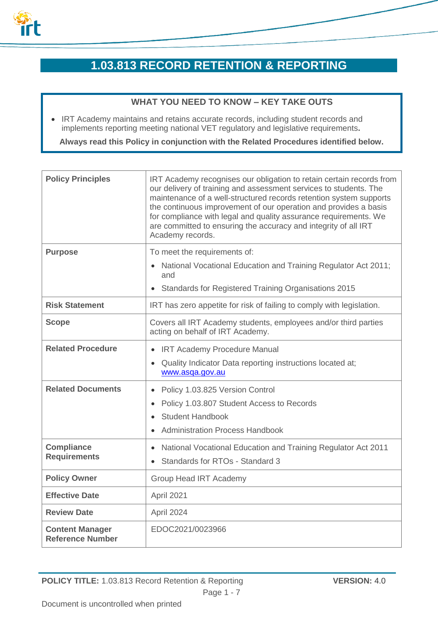

# **1.03.813 RECORD RETENTION & REPORTING**

## **WHAT YOU NEED TO KNOW – KEY TAKE OUTS**

• IRT Academy maintains and retains accurate records, including student records and implements reporting meeting national VET regulatory and legislative requirements**.**

**Always read this Policy in conjunction with the Related Procedures identified below.**

| <b>Policy Principles</b>                          | IRT Academy recognises our obligation to retain certain records from<br>our delivery of training and assessment services to students. The<br>maintenance of a well-structured records retention system supports<br>the continuous improvement of our operation and provides a basis<br>for compliance with legal and quality assurance requirements. We<br>are committed to ensuring the accuracy and integrity of all IRT<br>Academy records. |
|---------------------------------------------------|------------------------------------------------------------------------------------------------------------------------------------------------------------------------------------------------------------------------------------------------------------------------------------------------------------------------------------------------------------------------------------------------------------------------------------------------|
| <b>Purpose</b>                                    | To meet the requirements of:                                                                                                                                                                                                                                                                                                                                                                                                                   |
|                                                   | National Vocational Education and Training Regulator Act 2011;<br>and                                                                                                                                                                                                                                                                                                                                                                          |
|                                                   | <b>Standards for Registered Training Organisations 2015</b>                                                                                                                                                                                                                                                                                                                                                                                    |
| <b>Risk Statement</b>                             | IRT has zero appetite for risk of failing to comply with legislation.                                                                                                                                                                                                                                                                                                                                                                          |
| <b>Scope</b>                                      | Covers all IRT Academy students, employees and/or third parties<br>acting on behalf of IRT Academy.                                                                                                                                                                                                                                                                                                                                            |
| <b>Related Procedure</b>                          | • IRT Academy Procedure Manual                                                                                                                                                                                                                                                                                                                                                                                                                 |
|                                                   | Quality Indicator Data reporting instructions located at;<br>www.asqa.gov.au                                                                                                                                                                                                                                                                                                                                                                   |
| <b>Related Documents</b>                          | Policy 1.03.825 Version Control<br>$\bullet$                                                                                                                                                                                                                                                                                                                                                                                                   |
|                                                   | Policy 1.03.807 Student Access to Records                                                                                                                                                                                                                                                                                                                                                                                                      |
|                                                   | <b>Student Handbook</b>                                                                                                                                                                                                                                                                                                                                                                                                                        |
|                                                   | <b>Administration Process Handbook</b>                                                                                                                                                                                                                                                                                                                                                                                                         |
| <b>Compliance</b><br><b>Requirements</b>          | National Vocational Education and Training Regulator Act 2011<br>$\bullet$                                                                                                                                                                                                                                                                                                                                                                     |
|                                                   | Standards for RTOs - Standard 3                                                                                                                                                                                                                                                                                                                                                                                                                |
| <b>Policy Owner</b>                               | <b>Group Head IRT Academy</b>                                                                                                                                                                                                                                                                                                                                                                                                                  |
| <b>Effective Date</b>                             | April 2021                                                                                                                                                                                                                                                                                                                                                                                                                                     |
| <b>Review Date</b>                                | April 2024                                                                                                                                                                                                                                                                                                                                                                                                                                     |
| <b>Content Manager</b><br><b>Reference Number</b> | EDOC2021/0023966                                                                                                                                                                                                                                                                                                                                                                                                                               |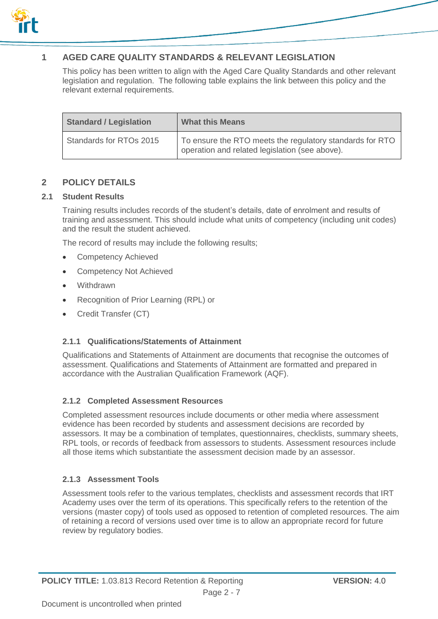

# **1 AGED CARE QUALITY STANDARDS & RELEVANT LEGISLATION**

This policy has been written to align with the Aged Care Quality Standards and other relevant legislation and regulation. The following table explains the link between this policy and the relevant external requirements.

| <b>Standard / Legislation</b> | <b>What this Means</b>                                                                                     |
|-------------------------------|------------------------------------------------------------------------------------------------------------|
| Standards for RTOs 2015       | To ensure the RTO meets the regulatory standards for RTO<br>operation and related legislation (see above). |

## **2 POLICY DETAILS**

#### **2.1 Student Results**

Training results includes records of the student's details, date of enrolment and results of training and assessment. This should include what units of competency (including unit codes) and the result the student achieved.

The record of results may include the following results;

- Competency Achieved
- Competency Not Achieved
- Withdrawn
- Recognition of Prior Learning (RPL) or
- Credit Transfer (CT)

### **2.1.1 Qualifications/Statements of Attainment**

Qualifications and Statements of Attainment are documents that recognise the outcomes of assessment. Qualifications and Statements of Attainment are formatted and prepared in accordance with the Australian Qualification Framework (AQF).

#### **2.1.2 Completed Assessment Resources**

Completed assessment resources include documents or other media where assessment evidence has been recorded by students and assessment decisions are recorded by assessors. It may be a combination of templates, questionnaires, checklists, summary sheets, RPL tools, or records of feedback from assessors to students. Assessment resources include all those items which substantiate the assessment decision made by an assessor.

#### **2.1.3 Assessment Tools**

Assessment tools refer to the various templates, checklists and assessment records that IRT Academy uses over the term of its operations. This specifically refers to the retention of the versions (master copy) of tools used as opposed to retention of completed resources. The aim of retaining a record of versions used over time is to allow an appropriate record for future review by regulatory bodies.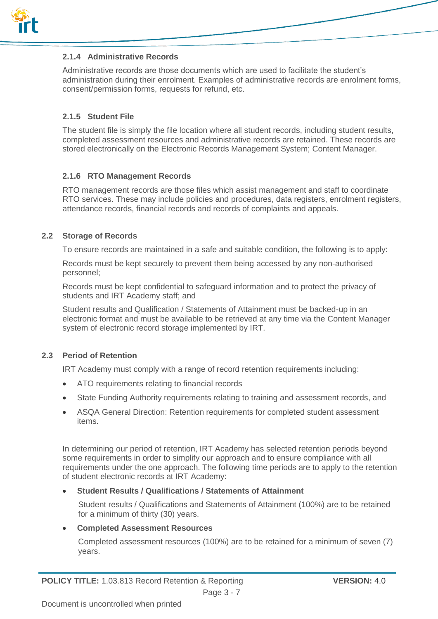

#### **2.1.4 Administrative Records**

Administrative records are those documents which are used to facilitate the student's administration during their enrolment. Examples of administrative records are enrolment forms, consent/permission forms, requests for refund, etc.

#### **2.1.5 Student File**

The student file is simply the file location where all student records, including student results, completed assessment resources and administrative records are retained. These records are stored electronically on the Electronic Records Management System; Content Manager.

#### **2.1.6 RTO Management Records**

RTO management records are those files which assist management and staff to coordinate RTO services. These may include policies and procedures, data registers, enrolment registers, attendance records, financial records and records of complaints and appeals.

#### **2.2 Storage of Records**

To ensure records are maintained in a safe and suitable condition, the following is to apply:

Records must be kept securely to prevent them being accessed by any non-authorised personnel;

Records must be kept confidential to safeguard information and to protect the privacy of students and IRT Academy staff; and

Student results and Qualification / Statements of Attainment must be backed-up in an electronic format and must be available to be retrieved at any time via the Content Manager system of electronic record storage implemented by IRT.

#### **2.3 Period of Retention**

IRT Academy must comply with a range of record retention requirements including:

- ATO requirements relating to financial records
- State Funding Authority requirements relating to training and assessment records, and
- ASQA General Direction: Retention requirements for completed student assessment items.

In determining our period of retention, IRT Academy has selected retention periods beyond some requirements in order to simplify our approach and to ensure compliance with all requirements under the one approach. The following time periods are to apply to the retention of student electronic records at IRT Academy:

#### **Student Results / Qualifications / Statements of Attainment**

Student results / Qualifications and Statements of Attainment (100%) are to be retained for a minimum of thirty (30) years.

#### **Completed Assessment Resources**

Completed assessment resources (100%) are to be retained for a minimum of seven (7) years.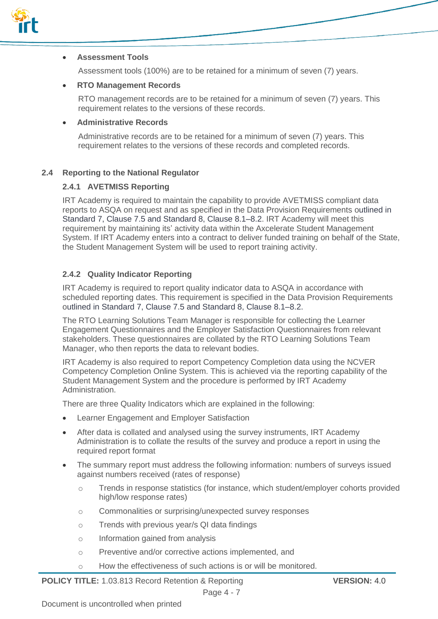

#### **Assessment Tools**

Assessment tools (100%) are to be retained for a minimum of seven (7) years.

#### **RTO Management Records**

RTO management records are to be retained for a minimum of seven (7) years. This requirement relates to the versions of these records.

#### **Administrative Records**

Administrative records are to be retained for a minimum of seven (7) years. This requirement relates to the versions of these records and completed records.

#### **2.4 Reporting to the National Regulator**

#### **2.4.1 AVETMISS Reporting**

IRT Academy is required to maintain the capability to provide AVETMISS compliant data reports to ASQA on request and as specified in the Data Provision Requirements outlined in Standard 7, Clause 7.5 and Standard 8, Clause 8.1–8.2. IRT Academy will meet this requirement by maintaining its' activity data within the Axcelerate Student Management System. If IRT Academy enters into a contract to deliver funded training on behalf of the State, the Student Management System will be used to report training activity.

#### **2.4.2 Quality Indicator Reporting**

IRT Academy is required to report quality indicator data to ASQA in accordance with scheduled reporting dates. This requirement is specified in the Data Provision Requirements outlined in Standard 7, Clause 7.5 and Standard 8, Clause 8.1–8.2.

The RTO Learning Solutions Team Manager is responsible for collecting the Learner Engagement Questionnaires and the Employer Satisfaction Questionnaires from relevant stakeholders. These questionnaires are collated by the RTO Learning Solutions Team Manager, who then reports the data to relevant bodies.

IRT Academy is also required to report Competency Completion data using the NCVER Competency Completion Online System. This is achieved via the reporting capability of the Student Management System and the procedure is performed by IRT Academy Administration.

There are three Quality Indicators which are explained in the following:

- Learner Engagement and Employer Satisfaction
- After data is collated and analysed using the survey instruments, IRT Academy Administration is to collate the results of the survey and produce a report in using the required report format
- The summary report must address the following information: numbers of surveys issued against numbers received (rates of response)
	- o Trends in response statistics (for instance, which student/employer cohorts provided high/low response rates)
	- o Commonalities or surprising/unexpected survey responses
	- o Trends with previous year/s QI data findings
	- o Information gained from analysis
	- o Preventive and/or corrective actions implemented, and
	- o How the effectiveness of such actions is or will be monitored.

**POLICY TITLE:** 1.03.813 Record Retention & Reporting **VERSION:** 4.0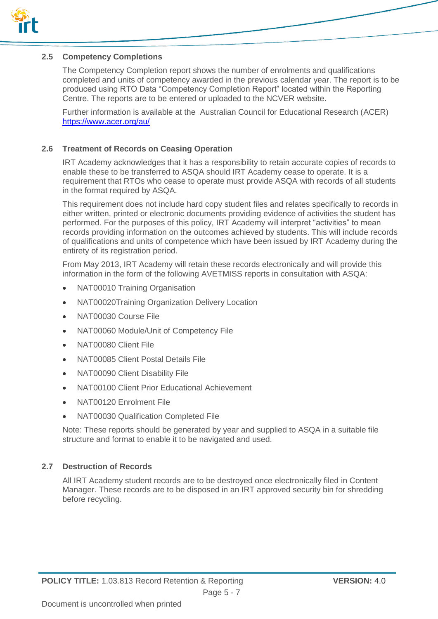

#### **2.5 Competency Completions**

The Competency Completion report shows the number of enrolments and qualifications completed and units of competency awarded in the previous calendar year. The report is to be produced using RTO Data "Competency Completion Report" located within the Reporting Centre. The reports are to be entered or uploaded to the NCVER website.

Further information is available at the Australian Council for Educational Research (ACER) <https://www.acer.org/au/>

#### **2.6 Treatment of Records on Ceasing Operation**

IRT Academy acknowledges that it has a responsibility to retain accurate copies of records to enable these to be transferred to ASQA should IRT Academy cease to operate. It is a requirement that RTOs who cease to operate must provide ASQA with records of all students in the format required by ASQA.

This requirement does not include hard copy student files and relates specifically to records in either written, printed or electronic documents providing evidence of activities the student has performed. For the purposes of this policy, IRT Academy will interpret "activities" to mean records providing information on the outcomes achieved by students. This will include records of qualifications and units of competence which have been issued by IRT Academy during the entirety of its registration period.

From May 2013, IRT Academy will retain these records electronically and will provide this information in the form of the following AVETMISS reports in consultation with ASQA:

- NAT00010 Training Organisation
- NAT00020Training Organization Delivery Location
- NAT00030 Course File
- NAT00060 Module/Unit of Competency File
- NAT00080 Client File
- NAT00085 Client Postal Details File
- NAT00090 Client Disability File
- NAT00100 Client Prior Educational Achievement
- NAT00120 Enrolment File
- NAT00030 Qualification Completed File

Note: These reports should be generated by year and supplied to ASQA in a suitable file structure and format to enable it to be navigated and used.

#### **2.7 Destruction of Records**

All IRT Academy student records are to be destroyed once electronically filed in Content Manager. These records are to be disposed in an IRT approved security bin for shredding before recycling.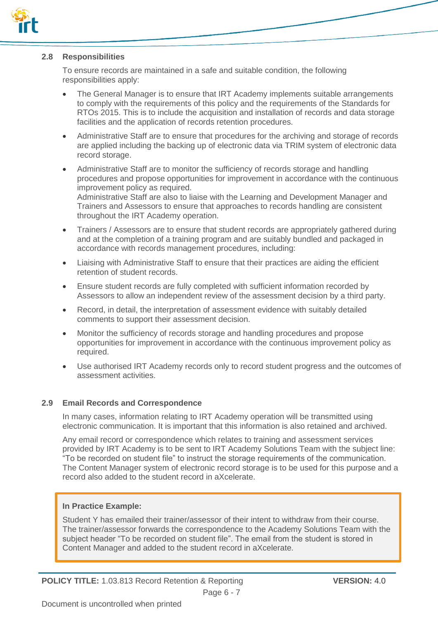

#### **2.8 Responsibilities**

To ensure records are maintained in a safe and suitable condition, the following responsibilities apply:

- The General Manager is to ensure that IRT Academy implements suitable arrangements to comply with the requirements of this policy and the requirements of the Standards for RTOs 2015. This is to include the acquisition and installation of records and data storage facilities and the application of records retention procedures.
- Administrative Staff are to ensure that procedures for the archiving and storage of records are applied including the backing up of electronic data via TRIM system of electronic data record storage.
- Administrative Staff are to monitor the sufficiency of records storage and handling procedures and propose opportunities for improvement in accordance with the continuous improvement policy as required. Administrative Staff are also to liaise with the Learning and Development Manager and Trainers and Assessors to ensure that approaches to records handling are consistent throughout the IRT Academy operation.
- Trainers / Assessors are to ensure that student records are appropriately gathered during and at the completion of a training program and are suitably bundled and packaged in accordance with records management procedures, including:
- Liaising with Administrative Staff to ensure that their practices are aiding the efficient retention of student records.
- Ensure student records are fully completed with sufficient information recorded by Assessors to allow an independent review of the assessment decision by a third party.
- Record, in detail, the interpretation of assessment evidence with suitably detailed comments to support their assessment decision.
- Monitor the sufficiency of records storage and handling procedures and propose opportunities for improvement in accordance with the continuous improvement policy as required.
- Use authorised IRT Academy records only to record student progress and the outcomes of assessment activities.

#### **2.9 Email Records and Correspondence**

In many cases, information relating to IRT Academy operation will be transmitted using electronic communication. It is important that this information is also retained and archived.

Any email record or correspondence which relates to training and assessment services provided by IRT Academy is to be sent to IRT Academy Solutions Team with the subject line: "To be recorded on student file" to instruct the storage requirements of the communication. The Content Manager system of electronic record storage is to be used for this purpose and a record also added to the student record in aXcelerate.

#### **In Practice Example:**

Student Y has emailed their trainer/assessor of their intent to withdraw from their course. The trainer/assessor forwards the correspondence to the Academy Solutions Team with the subject header "To be recorded on student file". The email from the student is stored in Content Manager and added to the student record in aXcelerate.